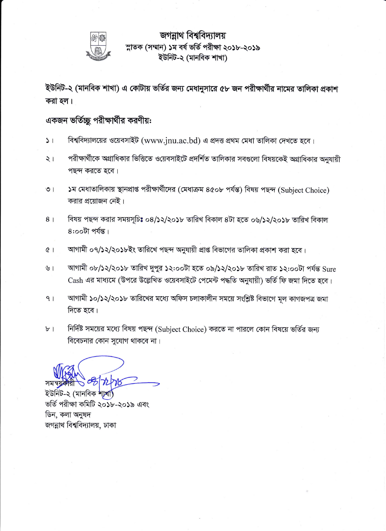

### জগন্নাথ বিশ্ববিদ্যালয় ম্নাতক (সম্মান) ১ম বৰ্ষ ভৰ্তি পরীক্ষা ২০১৮-২০১৯ ইউনিট-২ (মানবিক শাখা)

ইউনিট-২ (মানবিক শাখা) এ কোটায় ভর্তির জন্য মেধানুসারে ৫৮ জন পরীক্ষার্থীর নামের তালিকা প্রকাশ করা হল।

#### একজন ভর্তিচ্ছু পরীক্ষার্থীর করণীয়:

- বিশ্ববিদ্যালয়ের ওয়েবসাইট (www.jnu.ac.bd) এ প্রদত্ত প্রথম মেধা তালিকা দেখতে হবে।  $\geq 1$
- পরীক্ষার্থীকে অগ্রাধিকার ভিত্তিতে ওয়েবসাইটে প্রদর্শিত তালিকার সবগুলো বিষয়কেই অগ্রাধিকার অনুযায়ী  $\frac{1}{2}$ পছন্দ করতে হবে।
- ১ম মেধাতালিকায় স্থানপ্রাপ্ত পরীক্ষার্থীদের (মেধাক্রম ৪৫০৮ পর্যন্ত) বিষয় পছন্দ (Subject Choice)  $\circ$  | করার প্রয়োজন নেই।
- বিষয় পছন্দ করার সময়সূচিঃ ০৪/১২/২০১৮ তারিখ বিকাল ৪টা হতে ০৬/১২/২০১৮ তারিখ বিকাল  $8<sup>1</sup>$  $8:$ ০০টা পৰ্যন্ত।
- আগামী ০৭/১২/২০১৮ইং তারিখে পছন্দ অনুযায়ী প্রাপ্ত বিভাগের তালিকা প্রকাশ করা হবে।  $(3)$
- $\mathcal{V}$ আগামী ০৮/১২/২০১৮ তারিখ দুপুর ১২:০০টা হতে ০৯/১২/২০১৮ তারিখ রাত ১২:০০টা পর্যন্ত Sure Cash এর মাধ্যমে (উপরে উল্লেখিত ওয়েবসাইটে পেমেন্ট পদ্ধতি অনুযায়ী) ভর্তি ফি জমা দিতে হবে।
- আগামী ১০/১২/২০১৮ তারিখের মধ্যে অফিস চলাকালীন সময়ে সংশ্লিষ্ট বিভাগে মূল কাগজপত্র জমা  $9<sub>1</sub>$ দিতে হবে।
- নির্দিষ্ট সময়ের মধ্যে বিষয় পছন্দ (Subject Choice) করতে না পারলে কোন বিষয়ে ভর্তির জন্য  $b$ <sup>-1</sup> বিবেচনার কোন সুযোগ থাকবে না।

সমন্বয় ইউনিট-২ (মানবিক শাখা) ভৰ্তি পরীক্ষা কমিটি ২০১৮-২০১৯ এবং

ডিন, কলা অনুষদ জগন্নাথ বিশ্ববিদ্যালয়, ঢাকা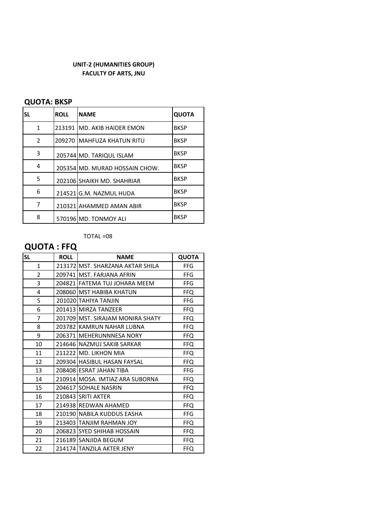#### **UNIT-2 (HUMANITIES GROUP) FACULTY OF ARTS, JNU**

#### **QUOTA: BKSP**

| <b>SL</b>    | <b>ROLL</b> | <b>NAME</b>                    | <b>QUOTA</b> |
|--------------|-------------|--------------------------------|--------------|
| $\mathbf{1}$ |             | 213191 IMD. AKIB HAIDER EMON   | <b>BKSP</b>  |
| 2            |             | 209270 IMAHFUZA KHATUN RITU    | <b>BKSP</b>  |
| 3            |             | 205744 MD. TARIQUL ISLAM       | <b>BKSP</b>  |
| 4            |             | 205354 MD, MURAD HOSSAIN CHOW. | <b>BKSP</b>  |
| 5            |             | 202106 SHAIKH MD. SHAHRIAR     | <b>BKSP</b>  |
| 6            |             | 214521 G.M. NAZMUL HUDA        | <b>BKSP</b>  |
| 7            |             | 210321 AHAMMED AMAN ABIR       | <b>BKSP</b>  |
| 8            |             | 570196 MD. TONMOY ALI          | <b>BKSP</b>  |

TOTAL =08

## **QUOTA : FFQ**

| <b>SL</b>      | <b>ROLL</b> | <b>NAME</b>                       | <b>QUOTA</b> |
|----------------|-------------|-----------------------------------|--------------|
| $\mathbf{1}$   |             | 213172 MST. SHARZANA AKTAR SHILA  | <b>FFG</b>   |
| $\overline{2}$ |             | 209741 MST. FARJANA AFRIN         | <b>FFG</b>   |
| 3              |             | 204821 FATEMA TUJ JOHARA MEEM     | <b>FFG</b>   |
| 4              |             | 208060 MST HABIBA KHATUN          | <b>FFQ</b>   |
| 5              |             | 201020 TAHIYA TANJIN              | <b>FFG</b>   |
| 6              |             | 201413 MIRZA TANZEER              | <b>FFQ</b>   |
| 7              |             | 201709 IMST. SIRAJAM MONIRA SHATY | <b>FFQ</b>   |
| 8              |             | 203782 KAMRUN NAHAR LUBNA         | FFQ.         |
| 9              |             | 206371 MEHERUNNNESA NORY          | <b>FFQ</b>   |
| 10             |             | 214646 NAZMUJ SAKIB SARKAR        | FFQ.         |
| 11             |             | 211222 MD. LIKHON MIA             | <b>FFQ</b>   |
| 12             |             | 209304 HASIBUL HASAN FAYSAL       | <b>FFQ</b>   |
| 13             |             | 208408 ESRAT JAHAN TIBA           | <b>FFG</b>   |
| 14             |             | 210914 MOSA. IMTIAZ ARA SUBORNA   | FFQ.         |
| 15             |             | 204617 SOHALE NASRIN              | <b>FFQ</b>   |
| 16             |             | 210843 SRITI AKTER                | FFQ.         |
| 17             |             | 214938 REDWAN AHAMED              | <b>FFQ</b>   |
| 18             |             | 210190 NABILA KUDDUS EASHA        | FFG          |
| 19             |             | 213403 TANJIM RAHMAN JOY          | <b>FFQ</b>   |
| 20             |             | 206823 SYED SHIHAB HOSSAIN        | <b>FFQ</b>   |
| 21             |             | 216189 SANJIDA BEGUM              | <b>FFQ</b>   |
| 22             |             | 214174 TANZILA AKTER JENY         | <b>FFQ</b>   |